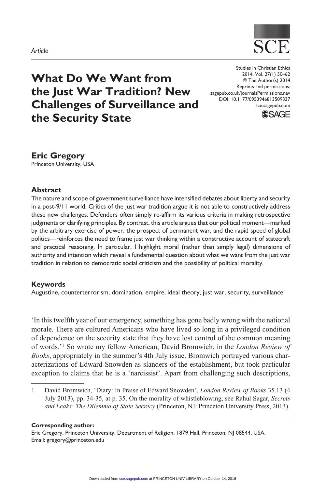



# **What Do We Want from the Just War Tradition? New Challenges of Surveillance and the Security State**

Studies in Christian Ethics 2014, Vol. 27(1) 50–62 © The Author(s) 2014 Reprints and permissions: sagepub.co.uk/journalsPermissions.nav DOI: 10.1177/0953946813509337 sce.sagepub.com



**Eric Gregory** Princeton University, USA

#### **Abstract**

The nature and scope of government surveillance have intensified debates about liberty and security in a post-9/11 world. Critics of the just war tradition argue it is not able to constructively address these new challenges. Defenders often simply re-affirm its various criteria in making retrospective judgments or clarifying principles. By contrast, this article argues that our political moment—marked by the arbitrary exercise of power, the prospect of permanent war, and the rapid speed of global politics—reinforces the need to frame just war thinking within a constructive account of statecraft and practical reasoning. In particular, I highlight moral (rather than simply legal) dimensions of authority and intention which reveal a fundamental question about what we want from the just war tradition in relation to democratic social criticism and the possibility of political morality.

### **Keywords**

Augustine, counterterrorism, domination, empire, ideal theory, just war, security, surveillance

'In this twelfth year of our emergency, something has gone badly wrong with the national morale. There are cultured Americans who have lived so long in a privileged condition of dependence on the security state that they have lost control of the common meaning of words.'1 So wrote my fellow American, David Bromwich, in the *London Review of Books*, appropriately in the summer's 4th July issue. Bromwich portrayed various characterizations of Edward Snowden as slanders of the establishment, but took particular exception to claims that he is a 'narcissist'. Apart from challenging such descriptions,

#### **Corresponding author:**

Eric Gregory, Princeton University, Department of Religion, 1879 Hall, Princeton, NJ 08544, USA. Email: gregory@princeton.edu

<sup>1</sup> David Bromwich, 'Diary: In Praise of Edward Snowden', *London Review of Books* 35.13 (4 July 2013), pp. 34-35, at p. 35. On the morality of whistleblowing, see Rahul Sagar, *Secrets and Leaks: The Dilemma of State Secrecy* (Princeton, NJ: Princeton University Press, 2013).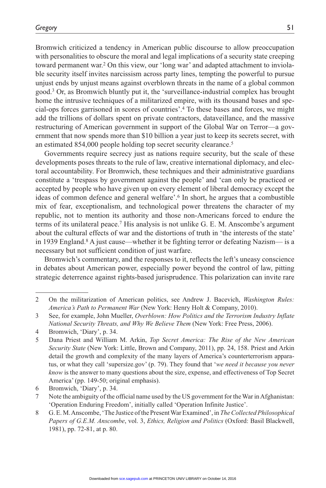Bromwich criticized a tendency in American public discourse to allow preoccupation with personalities to obscure the moral and legal implications of a security state creeping toward permanent war.2 On this view, our 'long war' and adapted attachment to inviolable security itself invites narcissism across party lines, tempting the powerful to pursue unjust ends by unjust means against overblown threats in the name of a global common good.3 Or, as Bromwich bluntly put it, the 'surveillance-industrial complex has brought home the intrusive techniques of a militarized empire, with its thousand bases and special-ops forces garrisoned in scores of countries'.4 To these bases and forces, we might add the trillions of dollars spent on private contractors, dataveillance, and the massive restructuring of American government in support of the Global War on Terror—a government that now spends more than \$10 billion a year just to keep its secrets secret, with an estimated 854,000 people holding top secret security clearance.5

Governments require secrecy just as nations require security, but the scale of these developments poses threats to the rule of law, creative international diplomacy, and electoral accountability. For Bromwich, these techniques and their administrative guardians constitute a 'trespass by government against the people' and 'can only be practiced or accepted by people who have given up on every element of liberal democracy except the ideas of common defence and general welfare'.6 In short, he argues that a combustible mix of fear, exceptionalism, and technological power threatens the character of my republic, not to mention its authority and those non-Americans forced to endure the terms of its unilateral peace.7 His analysis is not unlike G. E. M. Anscombe's argument about the cultural effects of war and the distortions of truth in 'the interests of the state' in 1939 England.<sup>8</sup> A just cause—whether it be fighting terror or defeating Nazism— is a necessary but not sufficient condition of just warfare.

Bromwich's commentary, and the responses to it, reflects the left's uneasy conscience in debates about American power, especially power beyond the control of law, pitting strategic deterrence against rights-based jurisprudence. This polarization can invite rare

<sup>2</sup> On the militarization of American politics, see Andrew J. Bacevich, *Washington Rules: America's Path to Permanent War* (New York: Henry Holt & Company, 2010).

<sup>3</sup> See, for example, John Mueller, *Overblown: How Politics and the Terrorism Industry Inflate National Security Threats, and Why We Believe Them* (New York: Free Press, 2006).

<sup>4</sup> Bromwich, 'Diary', p. 34.

<sup>5</sup> Dana Priest and William M. Arkin, *Top Secret America: The Rise of the New American Security State* (New York: Little, Brown and Company, 2011), pp. 24, 158. Priest and Arkin detail the growth and complexity of the many layers of America's counterterrorism apparatus, or what they call 'supersize.gov' (p. 79). They found that '*we need it because you never know* is the answer to many questions about the size, expense, and effectiveness of Top Secret America' (pp. 149-50; original emphasis).

<sup>6</sup> Bromwich, 'Diary', p. 34.

<sup>7</sup> Note the ambiguity of the official name used by the US government for the War in Afghanistan: 'Operation Enduring Freedom', initially called 'Operation Infinite Justice'.

<sup>8</sup> G. E. M. Anscombe, 'The Justice of the Present War Examined', in *The Collected Philosophical Papers of G.E.M. Anscombe*, vol. 3, *Ethics, Religion and Politics* (Oxford: Basil Blackwell, 1981), pp. 72-81, at p. 80.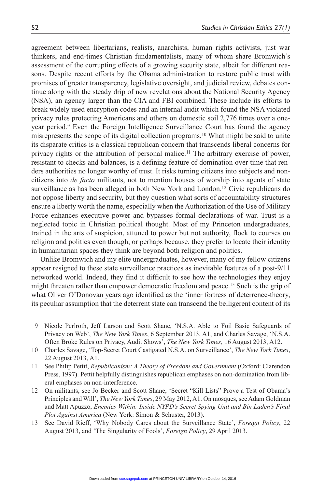agreement between libertarians, realists, anarchists, human rights activists, just war thinkers, and end-times Christian fundamentalists, many of whom share Bromwich's assessment of the corrupting effects of a growing security state, albeit for different reasons. Despite recent efforts by the Obama administration to restore public trust with promises of greater transparency, legislative oversight, and judicial review, debates continue along with the steady drip of new revelations about the National Security Agency (NSA), an agency larger than the CIA and FBI combined. These include its efforts to break widely used encryption codes and an internal audit which found the NSA violated privacy rules protecting Americans and others on domestic soil 2,776 times over a oneyear period.9 Even the Foreign Intelligence Surveillance Court has found the agency misrepresents the scope of its digital collection programs.10 What might be said to unite its disparate critics is a classical republican concern that transcends liberal concerns for privacy rights or the attribution of personal malice.11 The arbitrary exercise of power, resistant to checks and balances, is a defining feature of domination over time that renders authorities no longer worthy of trust. It risks turning citizens into subjects and noncitizens into *de facto* militants, not to mention houses of worship into agents of state surveillance as has been alleged in both New York and London.12 Civic republicans do not oppose liberty and security, but they question what sorts of accountability structures ensure a liberty worth the name, especially when the Authorization of the Use of Military Force enhances executive power and bypasses formal declarations of war. Trust is a neglected topic in Christian political thought. Most of my Princeton undergraduates, trained in the arts of suspicion, attuned to power but not authority, flock to courses on religion and politics even though, or perhaps because, they prefer to locate their identity in humanitarian spaces they think are beyond both religion and politics.

Unlike Bromwich and my elite undergraduates, however, many of my fellow citizens appear resigned to these state surveillance practices as inevitable features of a post-9/11 networked world. Indeed, they find it difficult to see how the technologies they enjoy might threaten rather than empower democratic freedom and peace.<sup>13</sup> Such is the grip of what Oliver O'Donovan years ago identified as the 'inner fortress of deterrence-theory, its peculiar assumption that the deterrent state can transcend the belligerent content of its

<sup>9</sup> Nicole Perlroth, Jeff Larson and Scott Shane, 'N.S.A. Able to Foil Basic Safeguards of Privacy on Web', *The New York Times*, 6 September 2013, A1, and Charles Savage, 'N.S.A. Often Broke Rules on Privacy, Audit Shows', *The New York Times*, 16 August 2013, A12.

<sup>10</sup> Charles Savage, 'Top-Secret Court Castigated N.S.A. on Surveillance', *The New York Times*, 22 August 2013, A1.

<sup>11</sup> See Philip Pettit, *Republicanism: A Theory of Freedom and Government* (Oxford: Clarendon Press, 1997). Pettit helpfully distinguishes republican emphases on non-domination from liberal emphases on non-interference.

<sup>12</sup> On militants, see Jo Becker and Scott Shane, 'Secret "Kill Lists" Prove a Test of Obama's Principles and Will', *The New York Times*, 29 May 2012, A1. On mosques, see Adam Goldman and Matt Apuzzo, *Enemies Within: Inside NYPD's Secret Spying Unit and Bin Laden's Final Plot Against America* (New York: Simon & Schuster, 2013).

<sup>13</sup> See David Rieff, 'Why Nobody Cares about the Surveillance State', *Foreign Policy*, 22 August 2013, and 'The Singularity of Fools', *Foreign Policy*, 29 April 2013.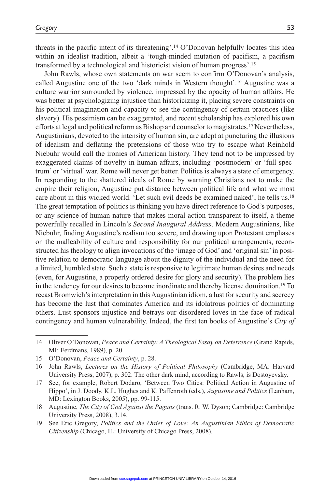threats in the pacific intent of its threatening'.14 O'Donovan helpfully locates this idea within an idealist tradition, albeit a 'tough-minded mutation of pacifism, a pacifism transformed by a technological and historicist vision of human progress'.15

John Rawls, whose own statements on war seem to confirm O'Donovan's analysis, called Augustine one of the two 'dark minds in Western thought'.16 Augustine was a culture warrior surrounded by violence, impressed by the opacity of human affairs. He was better at psychologizing injustice than historicizing it, placing severe constraints on his political imagination and capacity to see the contingency of certain practices (like slavery). His pessimism can be exaggerated, and recent scholarship has explored his own efforts at legal and political reform as Bishop and counselor to magistrates.17 Nevertheless, Augustinians, devoted to the intensity of human sin, are adept at puncturing the illusions of idealism and deflating the pretensions of those who try to escape what Reinhold Niebuhr would call the ironies of American history. They tend not to be impressed by exaggerated claims of novelty in human affairs, including 'postmodern' or 'full spectrum' or 'virtual' war. Rome will never get better. Politics is always a state of emergency. In responding to the shattered ideals of Rome by warning Christians not to make the empire their religion, Augustine put distance between political life and what we most care about in this wicked world. 'Let such evil deeds be examined naked', he tells us.18 The great temptation of politics is thinking you have direct reference to God's purposes, or any science of human nature that makes moral action transparent to itself, a theme powerfully recalled in Lincoln's *Second Inaugural Address*. Modern Augustinians, like Niebuhr, finding Augustine's realism too severe, and drawing upon Protestant emphases on the malleability of culture and responsibility for our political arrangements, reconstructed his theology to align invocations of the 'image of God' and 'original sin' in positive relation to democratic language about the dignity of the individual and the need for a limited, humbled state. Such a state is responsive to legitimate human desires and needs (even, for Augustine, a properly ordered desire for glory and security). The problem lies in the tendency for our desires to become inordinate and thereby license domination.19 To recast Bromwich's interpretation in this Augustinian idiom, a lust for security and secrecy has become the lust that dominates America and its idolatrous politics of dominating others. Lust sponsors injustice and betrays our disordered loves in the face of radical contingency and human vulnerability. Indeed, the first ten books of Augustine's *City of* 

<sup>14</sup> Oliver O'Donovan, *Peace and Certainty: A Theological Essay on Deterrence* (Grand Rapids, MI: Eerdmans, 1989), p. 20.

<sup>15</sup> O'Donovan, *Peace and Certainty*, p. 28.

<sup>16</sup> John Rawls, *Lectures on the History of Political Philosophy* (Cambridge, MA: Harvard University Press, 2007), p. 302. The other dark mind, according to Rawls, is Dostoyevsky.

<sup>17</sup> See, for example, Robert Dodaro, 'Between Two Cities: Political Action in Augustine of Hippo', in J. Doody, K.L. Hughes and K. Paffenroth (eds.), *Augustine and Politics* (Lanham, MD: Lexington Books, 2005), pp. 99-115.

<sup>18</sup> Augustine, *The City of God Against the Pagans* (trans. R. W. Dyson; Cambridge: Cambridge University Press, 2008), 3.14.

<sup>19</sup> See Eric Gregory, *Politics and the Order of Love: An Augustinian Ethics of Democratic Citizenship* (Chicago, IL: University of Chicago Press, 2008).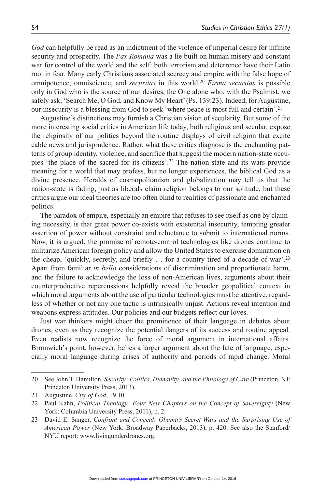*God* can helpfully be read as an indictment of the violence of imperial desire for infinite security and prosperity. The *Pax Romana* was a lie built on human misery and constant war for control of the world and the self: both terrorism and deterrence have their Latin root in fear. Many early Christians associated secrecy and empire with the false hope of omnipotence, omniscience, and *securitas* in this world.20 *Firma securitas* is possible only in God who is the source of our desires, the One alone who, with the Psalmist, we safely ask, 'Search Me, O God, and Know My Heart' (Ps. 139:23). Indeed, for Augustine, our insecurity is a blessing from God to seek 'where peace is most full and certain'.21

Augustine's distinctions may furnish a Christian vision of secularity. But some of the more interesting social critics in American life today, both religious and secular, expose the religiosity of our politics beyond the routine displays of civil religion that excite cable news and jurisprudence. Rather, what these critics diagnose is the enchanting patterns of group identity, violence, and sacrifice that suggest the modern nation-state occupies 'the place of the sacred for its citizens'.22 The nation-state and its wars provide meaning for a world that may profess, but no longer experiences, the biblical God as a divine presence. Heralds of cosmopolitanism and globalization may tell us that the nation-state is fading, just as liberals claim religion belongs to our solitude, but these critics argue our ideal theories are too often blind to realities of passionate and enchanted politics.

The paradox of empire, especially an empire that refuses to see itself as one by claiming necessity, is that great power co-exists with existential insecurity, tempting greater assertion of power without constraint and reluctance to submit to international norms. Now, it is argued, the promise of remote-control technologies like drones continue to militarize American foreign policy and allow the United States to exercise domination on the cheap, 'quickly, secretly, and briefly … for a country tired of a decade of war'.23 Apart from familiar *in bello* considerations of discrimination and proportionate harm, and the failure to acknowledge the loss of non-American lives, arguments about their counterproductive repercussions helpfully reveal the broader geopolitical context in which moral arguments about the use of particular technologies must be attentive, regardless of whether or not any one tactic is intrinsically unjust. Actions reveal intention and weapons express attitudes. Our policies and our budgets reflect our loves.

Just war thinkers might cheer the prominence of their language in debates about drones, even as they recognize the potential dangers of its success and routine appeal. Even realists now recognize the force of moral argument in international affairs. Bromwich's point, however, belies a larger argument about the fate of language, especially moral language during crises of authority and periods of rapid change. Moral

<sup>20</sup> See John T. Hamilton, *Security: Politics, Humanity, and the Philology of Care* (Princeton, NJ: Princeton University Press, 2013).

<sup>21</sup> Augustine, *City of God*, 19.10.

<sup>22</sup> Paul Kahn, *Political Theology: Four New Chapters on the Concept of Sovereignty* (New York: Columbia University Press, 2011), p. 2.

<sup>23</sup> David E. Sanger, *Confront and Conceal: Obama's Secret Wars and the Surprising Use of American Power* (New York: Broadway Paperbacks, 2013), p. 420. See also the Stanford/ NYU report: www.livingunderdrones.org.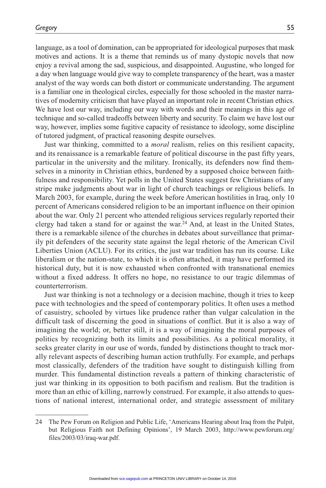language, as a tool of domination, can be appropriated for ideological purposes that mask motives and actions. It is a theme that reminds us of many dystopic novels that now enjoy a revival among the sad, suspicious, and disappointed. Augustine, who longed for a day when language would give way to complete transparency of the heart, was a master analyst of the way words can both distort or communicate understanding. The argument is a familiar one in theological circles, especially for those schooled in the master narratives of modernity criticism that have played an important role in recent Christian ethics. We have lost our way, including our way with words and their meanings in this age of technique and so-called tradeoffs between liberty and security. To claim we have lost our way, however, implies some fugitive capacity of resistance to ideology, some discipline of tutored judgment, of practical reasoning despite ourselves.

Just war thinking, committed to a *moral* realism, relies on this resilient capacity, and its renaissance is a remarkable feature of political discourse in the past fifty years, particular in the university and the military. Ironically, its defenders now find themselves in a minority in Christian ethics, burdened by a supposed choice between faithfulness and responsibility. Yet polls in the United States suggest few Christians of any stripe make judgments about war in light of church teachings or religious beliefs. In March 2003, for example, during the week before American hostilities in Iraq, only 10 percent of Americans considered religion to be an important influence on their opinion about the war. Only 21 percent who attended religious services regularly reported their clergy had taken a stand for or against the war.24 And, at least in the United States, there is a remarkable silence of the churches in debates about surveillance that primarily pit defenders of the security state against the legal rhetoric of the American Civil Liberties Union (ACLU). For its critics, the just war tradition has run its course. Like liberalism or the nation-state, to which it is often attached, it may have performed its historical duty, but it is now exhausted when confronted with transnational enemies without a fixed address. It offers no hope, no resistance to our tragic dilemmas of counterterrorism.

Just war thinking is not a technology or a decision machine, though it tries to keep pace with technologies and the speed of contemporary politics. It often uses a method of casuistry, schooled by virtues like prudence rather than vulgar calculation in the difficult task of discerning the good in situations of conflict. But it is also a way of imagining the world; or, better still, it is a way of imagining the moral purposes of politics by recognizing both its limits and possibilities. As a political morality, it seeks greater clarity in our use of words, funded by distinctions thought to track morally relevant aspects of describing human action truthfully. For example, and perhaps most classically, defenders of the tradition have sought to distinguish killing from murder. This fundamental distinction reveals a pattern of thinking characteristic of just war thinking in its opposition to both pacifism and realism. But the tradition is more than an ethic of killing, narrowly construed. For example, it also attends to questions of national interest, international order, and strategic assessment of military

<sup>24</sup> The Pew Forum on Religion and Public Life, 'Americans Hearing about Iraq from the Pulpit, [but Religious Faith not Defining Opinions', 19 March 2003, http://www.pewforum.org/](http://www.pewforum.org/files/2003/03/iraq-war.pdf) files/2003/03/iraq-war.pdf.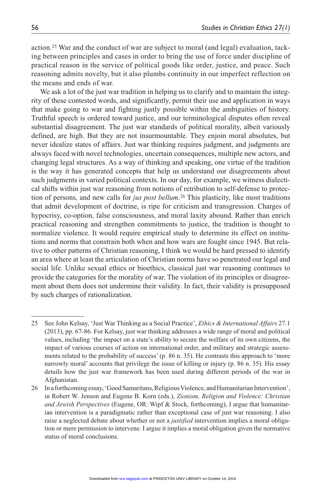action.25 War and the conduct of war are subject to moral (and legal) evaluation, tacking between principles and cases in order to bring the use of force under discipline of practical reason in the service of political goods like order, justice, and peace. Such reasoning admits novelty, but it also plumbs continuity in our imperfect reflection on the means and ends of war.

We ask a lot of the just war tradition in helping us to clarify and to maintain the integrity of these contested words, and significantly, permit their use and application in ways that make going to war and fighting justly possible within the ambiguities of history. Truthful speech is ordered toward justice, and our terminological disputes often reveal substantial disagreement. The just war standards of political morality, albeit variously defined, are high. But they are not insurmountable. They enjoin moral absolutes, but never idealize states of affairs. Just war thinking requires judgment, and judgments are always faced with novel technologies, uncertain consequences, multiple new actors, and changing legal structures. As a way of thinking and speaking, one virtue of the tradition is the way it has generated concepts that help us understand our disagreements about such judgments in varied political contexts. In our day, for example, we witness dialectical shifts within just war reasoning from notions of retribution to self-defense to protection of persons, and new calls for *jus post bellum*. 26 This plasticity, like most traditions that admit development of doctrine, is ripe for criticism and transgression. Charges of hypocrisy, co-option, false consciousness, and moral laxity abound. Rather than enrich practical reasoning and strengthen commitments to justice, the tradition is thought to normalize violence. It would require empirical study to determine its effect on institutions and norms that constrain both when and how wars are fought since 1945. But relative to other patterns of Christian reasoning, I think we would be hard pressed to identify an area where at least the articulation of Christian norms have so penetrated our legal and social life. Unlike sexual ethics or bioethics, classical just war reasoning continues to provide the categories for the morality of war. The violation of its principles or disagreement about them does not undermine their validity. In fact, their validity is presupposed by such charges of rationalization.

<sup>25</sup> See John Kelsay, 'Just War Thinking as a Social Practice', *Ethics & International Affairs* 27.1 (2013), pp. 67-86. For Kelsay, just war thinking addresses a wide range of moral and political values, including 'the impact on a state's ability to secure the welfare of its own citizens, the impact of various courses of action on international order, and military and strategic assessments related to the probability of success' (p. 86 n. 35). He contrasts this approach to 'more narrowly moral' accounts that privilege the issue of killing or injury (p. 86 n. 35). His essay details how the just war framework has been used during different periods of the war in Afghanistan.

<sup>26</sup> In a forthcoming essay, 'Good Samaritans, Religious Violence, and Humanitarian Intervention', in Robert W. Jenson and Eugene B. Korn (eds.), *Zionism, Religion and Violence: Christian and Jewish Perspectives* (Eugene, OR: Wipf & Stock, forthcoming), I argue that humanitarian intervention is a paradigmatic rather than exceptional case of just war reasoning. I also raise a neglected debate about whether or not a *justified* intervention implies a moral obligation or mere permission to intervene. I argue it implies a moral obligation given the normative status of moral conclusions.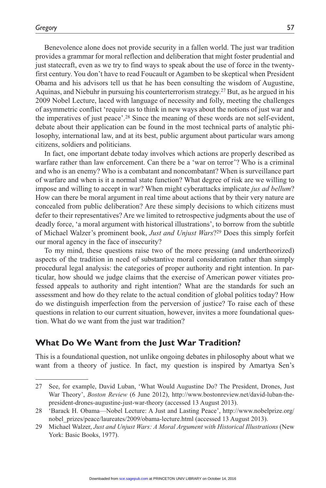Benevolence alone does not provide security in a fallen world. The just war tradition provides a grammar for moral reflection and deliberation that might foster prudential and just statecraft, even as we try to find ways to speak about the use of force in the twentyfirst century. You don't have to read Foucault or Agamben to be skeptical when President Obama and his advisors tell us that he has been consulting the wisdom of Augustine, Aquinas, and Niebuhr in pursuing his counterterrorism strategy.27 But, as he argued in his 2009 Nobel Lecture, laced with language of necessity and folly, meeting the challenges of asymmetric conflict 'require us to think in new ways about the notions of just war and the imperatives of just peace'.28 Since the meaning of these words are not self-evident, debate about their application can be found in the most technical parts of analytic philosophy, international law, and at its best, public argument about particular wars among citizens, soldiers and politicians.

In fact, one important debate today involves which actions are properly described as warfare rather than law enforcement. Can there be a 'war on terror'? Who is a criminal and who is an enemy? Who is a combatant and noncombatant? When is surveillance part of warfare and when is it a normal state function? What degree of risk are we willing to impose and willing to accept in war? When might cyberattacks implicate *jus ad bellum*? How can there be moral argument in real time about actions that by their very nature are concealed from public deliberation? Are these simply decisions to which citizens must defer to their representatives? Are we limited to retrospective judgments about the use of deadly force, 'a moral argument with historical illustrations', to borrow from the subtitle of Michael Walzer's prominent book, *Just and Unjust Wars*?29 Does this simply forfeit our moral agency in the face of insecurity?

To my mind, these questions raise two of the more pressing (and undertheorized) aspects of the tradition in need of substantive moral consideration rather than simply procedural legal analysis: the categories of proper authority and right intention. In particular, how should we judge claims that the exercise of American power vitiates professed appeals to authority and right intention? What are the standards for such an assessment and how do they relate to the actual condition of global politics today? How do we distinguish imperfection from the perversion of justice? To raise each of these questions in relation to our current situation, however, invites a more foundational question. What do we want from the just war tradition?

## **What Do We Want from the Just War Tradition?**

This is a foundational question, not unlike ongoing debates in philosophy about what we want from a theory of justice. In fact, my question is inspired by Amartya Sen's

<sup>27</sup> See, for example, David Luban, 'What Would Augustine Do? The President, Drones, Just War Theory', *Boston Review* (6 June 2012), http://www.bostonreview.net/david-luban-thepresident-drones-augustine-just-war-theory (accessed 13 August 2013).

<sup>28</sup> ['Barack H. Obama—Nobel Lecture: A Just and Lasting Peace', http://www.nobelprize.org/](http://www.nobelprize.org/nobel_prizes/peace/laureates/2009/obama-lecture.html) nobel\_prizes/peace/laureates/2009/obama-lecture.html (accessed 13 August 2013).

<sup>29</sup> Michael Walzer, *Just and Unjust Wars: A Moral Argument with Historical Illustrations* (New York: Basic Books, 1977).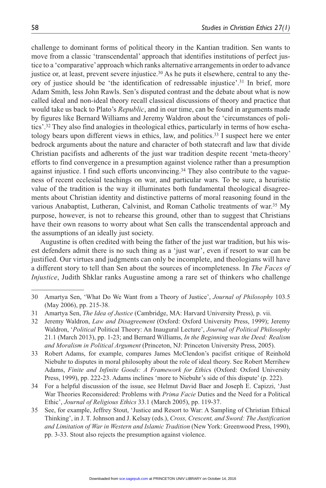challenge to dominant forms of political theory in the Kantian tradition. Sen wants to move from a classic 'transcendental' approach that identifies institutions of perfect justice to a 'comparative' approach which ranks alternative arrangements in order to advance justice or, at least, prevent severe injustice.<sup>30</sup> As he puts it elsewhere, central to any theory of justice should be 'the identification of redressable injustice'.31 In brief, more Adam Smith, less John Rawls. Sen's disputed contrast and the debate about what is now called ideal and non-ideal theory recall classical discussions of theory and practice that would take us back to Plato's *Republic*, and in our time, can be found in arguments made by figures like Bernard Williams and Jeremy Waldron about the 'circumstances of politics'.32 They also find analogies in theological ethics, particularly in terms of how eschatology bears upon different views in ethics, law, and politics.33 I suspect here we enter bedrock arguments about the nature and character of both statecraft and law that divide Christian pacifists and adherents of the just war tradition despite recent 'meta-theory' efforts to find convergence in a presumption against violence rather than a presumption against injustice. I find such efforts unconvincing.34 They also contribute to the vagueness of recent ecclesial teachings on war, and particular wars. To be sure, a heuristic value of the tradition is the way it illuminates both fundamental theological disagreements about Christian identity and distinctive patterns of moral reasoning found in the various Anabaptist, Lutheran, Calvinist, and Roman Catholic treatments of war.35 My purpose, however, is not to rehearse this ground, other than to suggest that Christians have their own reasons to worry about what Sen calls the transcendental approach and the assumptions of an ideally just society.

Augustine is often credited with being the father of the just war tradition, but his wisest defenders admit there is no such thing as a 'just war', even if resort to war can be justified. Our virtues and judgments can only be incomplete, and theologians will have a different story to tell than Sen about the sources of incompleteness. In *The Faces of Injustice*, Judith Shklar ranks Augustine among a rare set of thinkers who challenge

- 33 Robert Adams, for example, compares James McClendon's pacifist critique of Reinhold Niebuhr to disputes in moral philosophy about the role of ideal theory. See Robert Merrihew Adams, *Finite and Infinite Goods: A Framework for Ethic*s (Oxford: Oxford University Press, 1999), pp. 222-23. Adams inclines 'more to Niebuhr's side of this dispute' (p. 222).
- 34 For a helpful discussion of the issue, see Helmut David Baer and Joseph E. Capizzi, 'Just War Theories Reconsidered: Problems with *Prima Facie* Duties and the Need for a Political Ethic', *Journal of Religious Ethics* 33.1 (March 2005), pp. 119-37.
- 35 See, for example, Jeffrey Stout, 'Justice and Resort to War: A Sampling of Christian Ethical Thinking', in J. T. Johnson and J. Kelsay (eds.), *Cross, Crescent, and Sword: The Justification and Limitation of War in Western and Islamic Tradition* (New York: Greenwood Press, 1990), pp. 3-33. Stout also rejects the presumption against violence.

<sup>30</sup> Amartya Sen, 'What Do We Want from a Theory of Justice', *Journal of Philosophy* 103.5 (May 2006), pp. 215-38.

<sup>31</sup> Amartya Sen, *The Idea of Justice* (Cambridge, MA: Harvard University Press), p. vii.

<sup>32</sup> Jeremy Waldron, *Law and Disagreement* (Oxford: Oxford University Press, 1999); Jeremy Waldron, '*Political* Political Theory: An Inaugural Lecture', *Journal of Political Philosophy* 21.1 (March 2013), pp. 1-23; and Bernard Williams, *In the Beginning was the Deed: Realism and Moralism in Political Argument* (Princeton, NJ: Princeton University Press, 2005).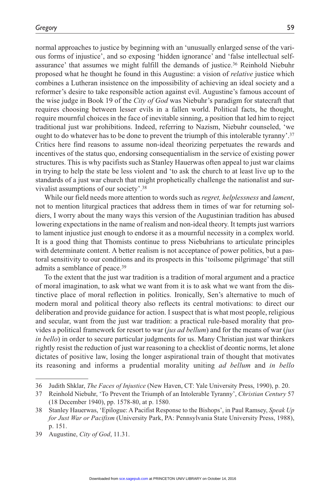normal approaches to justice by beginning with an 'unusually enlarged sense of the various forms of injustice', and so exposing 'hidden ignorance' and 'false intellectual selfassurance' that assumes we might fulfill the demands of justice.36 Reinhold Niebuhr proposed what he thought he found in this Augustine: a vision of *relative* justice which combines a Lutheran insistence on the impossibility of achieving an ideal society and a reformer's desire to take responsible action against evil. Augustine's famous account of the wise judge in Book 19 of the *City of God* was Niebuhr's paradigm for statecraft that requires choosing between lesser evils in a fallen world. Political facts, he thought, require mournful choices in the face of inevitable sinning, a position that led him to reject traditional just war prohibitions. Indeed, referring to Nazism, Niebuhr counseled, 'we ought to do whatever has to be done to prevent the triumph of this intolerable tyranny'. $37$ Critics here find reasons to assume non-ideal theorizing perpetuates the rewards and incentives of the status quo, endorsing consequentialism in the service of existing power structures. This is why pacifists such as Stanley Hauerwas often appeal to just war claims in trying to help the state be less violent and 'to ask the church to at least live up to the standards of a just war church that might prophetically challenge the nationalist and survivalist assumptions of our society'.38

While our field needs more attention to words such as *regret, helplessness* and *lament*, not to mention liturgical practices that address them in times of war for returning soldiers, I worry about the many ways this version of the Augustinian tradition has abused lowering expectations in the name of realism and non-ideal theory. It tempts just warriors to lament injustice just enough to endorse it as a mournful necessity in a complex world. It is a good thing that Thomists continue to press Niebuhrians to articulate principles with determinate content. A better realism is not acceptance of power politics, but a pastoral sensitivity to our conditions and its prospects in this 'toilsome pilgrimage' that still admits a semblance of peace.39

To the extent that the just war tradition is a tradition of moral argument and a practice of moral imagination, to ask what we want from it is to ask what we want from the distinctive place of moral reflection in politics. Ironically, Sen's alternative to much of modern moral and political theory also reflects its central motivations: to direct our deliberation and provide guidance for action. I suspect that is what most people, religious and secular, want from the just war tradition: a practical rule-based morality that provides a political framework for resort to war (*jus ad bellum*) and for the means of war (*jus in bello*) in order to secure particular judgments for us. Many Christian just war thinkers rightly resist the reduction of just war reasoning to a checklist of deontic norms, let alone dictates of positive law, losing the longer aspirational train of thought that motivates its reasoning and informs a prudential morality uniting *ad bellum* and *in bello*

<sup>36</sup> Judith Shklar, *The Faces of Injustice* (New Haven, CT: Yale University Press, 1990), p. 20.

<sup>37</sup> Reinhold Niebuhr, 'To Prevent the Triumph of an Intolerable Tyranny', *Christian Century* 57 (18 December 1940), pp. 1578-80, at p. 1580.

<sup>38</sup> Stanley Hauerwas, 'Epilogue: A Pacifist Response to the Bishops', in Paul Ramsey, *Speak Up for Just War or Pacifism* (University Park, PA: Pennsylvania State University Press, 1988), p. 151.

<sup>39</sup> Augustine, *City of God*, 11.31.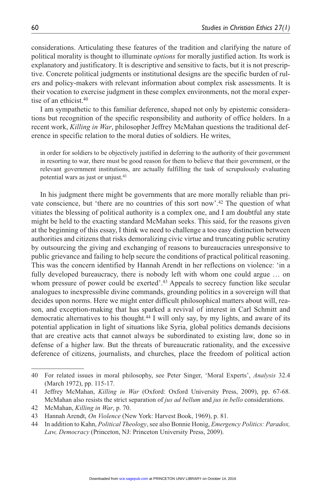considerations. Articulating these features of the tradition and clarifying the nature of political morality is thought to illuminate *options* for morally justified action. Its work is explanatory and justificatory. It is descriptive and sensitive to facts, but it is not prescriptive. Concrete political judgments or institutional designs are the specific burden of rulers and policy-makers with relevant information about complex risk assessments. It is their vocation to exercise judgment in these complex environments, not the moral expertise of an ethicist.40

I am sympathetic to this familiar deference, shaped not only by epistemic considerations but recognition of the specific responsibility and authority of office holders. In a recent work, *Killing in War*, philosopher Jeffrey McMahan questions the traditional deference in specific relation to the moral duties of soldiers. He writes,

in order for soldiers to be objectively justified in deferring to the authority of their government in resorting to war, there must be good reason for them to believe that their government, or the relevant government institutions, are actually fulfilling the task of scrupulously evaluating potential wars as just or unjust.41

In his judgment there might be governments that are more morally reliable than private conscience, but 'there are no countries of this sort now'.42 The question of what vitiates the blessing of political authority is a complex one, and I am doubtful any state might be held to the exacting standard McMahan seeks. This said, for the reasons given at the beginning of this essay, I think we need to challenge a too easy distinction between authorities and citizens that risks demoralizing civic virtue and truncating public scrutiny by outsourcing the giving and exchanging of reasons to bureaucracies unresponsive to public grievance and failing to help secure the conditions of practical political reasoning. This was the concern identified by Hannah Arendt in her reflections on violence: 'in a fully developed bureaucracy, there is nobody left with whom one could argue … on whom pressure of power could be exerted'.<sup>43</sup> Appeals to secrecy function like secular analogues to inexpressible divine commands, grounding politics in a sovereign will that decides upon norms. Here we might enter difficult philosophical matters about will, reason, and exception-making that has sparked a revival of interest in Carl Schmitt and democratic alternatives to his thought.44 I will only say, by my lights, and aware of its potential application in light of situations like Syria, global politics demands decisions that are creative acts that cannot always be subordinated to existing law, done so in defense of a higher law. But the threats of bureaucratic rationality, and the excessive deference of citizens, journalists, and churches, place the freedom of political action

<sup>40</sup> For related issues in moral philosophy, see Peter Singer, 'Moral Experts', *Analysis* 32.4 (March 1972), pp. 115-17.

<sup>41</sup> Jeffrey McMahan, *Killing in War* (Oxford: Oxford University Press, 2009), pp. 67-68. McMahan also resists the strict separation of *jus ad bellum* and *jus in bello* considerations.

<sup>42</sup> McMahan, *Killing in War*, p. 70.

<sup>43</sup> Hannah Arendt, *On Violence* (New York: Harvest Book, 1969), p. 81.

<sup>44</sup> In addition to Kahn, *Political Theology*, see also Bonnie Honig, *Emergency Politics: Paradox, Law, Democracy* (Princeton, NJ: Princeton University Press, 2009).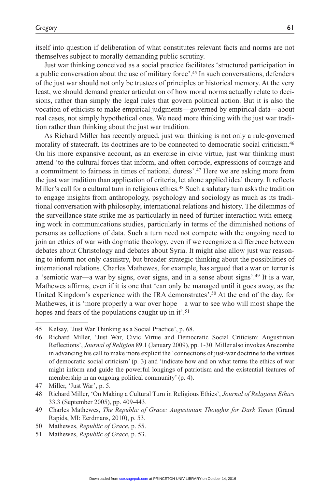itself into question if deliberation of what constitutes relevant facts and norms are not themselves subject to morally demanding public scrutiny.

Just war thinking conceived as a social practice facilitates 'structured participation in a public conversation about the use of military force'.45 In such conversations, defenders of the just war should not only be trustees of principles or historical memory. At the very least, we should demand greater articulation of how moral norms actually relate to decisions, rather than simply the legal rules that govern political action. But it is also the vocation of ethicists to make empirical judgments—governed by empirical data—about real cases, not simply hypothetical ones. We need more thinking with the just war tradition rather than thinking about the just war tradition.

As Richard Miller has recently argued, just war thinking is not only a rule-governed morality of statecraft. Its doctrines are to be connected to democratic social criticism.46 On his more expansive account, as an exercise in civic virtue, just war thinking must attend 'to the cultural forces that inform, and often corrode, expressions of courage and a commitment to fairness in times of national duress'.47 Here we are asking more from the just war tradition than application of criteria, let alone applied ideal theory. It reflects Miller's call for a cultural turn in religious ethics.<sup>48</sup> Such a salutary turn asks the tradition to engage insights from anthropology, psychology and sociology as much as its traditional conversation with philosophy, international relations and history. The dilemmas of the surveillance state strike me as particularly in need of further interaction with emerging work in communications studies, particularly in terms of the diminished notions of persons as collections of data. Such a turn need not compete with the ongoing need to join an ethics of war with dogmatic theology, even if we recognize a difference between debates about Christology and debates about Syria. It might also allow just war reasoning to inform not only casuistry, but broader strategic thinking about the possibilities of international relations. Charles Mathewes, for example, has argued that a war on terror is a 'semiotic war—a war by signs, over signs, and in a sense about signs'.49 It is a war, Mathewes affirms, even if it is one that 'can only be managed until it goes away, as the United Kingdom's experience with the IRA demonstrates'.50 At the end of the day, for Mathewes, it is 'more properly a war over hope—a war to see who will most shape the hopes and fears of the populations caught up in it'.<sup>51</sup>

<sup>45</sup> Kelsay, 'Just War Thinking as a Social Practice', p. 68.

<sup>46</sup> Richard Miller, 'Just War, Civic Virtue and Democratic Social Criticism: Augustinian Reflections', *Journal of Religion* 89.1 (January 2009), pp. 1-30. Miller also invokes Anscombe in advancing his call to make more explicit the 'connections of just-war doctrine to the virtues of democratic social criticism' (p. 3) and 'indicate how and on what terms the ethics of war might inform and guide the powerful longings of patriotism and the existential features of membership in an ongoing political community' (p. 4).

<sup>47</sup> Miller, 'Just War', p. 5.

<sup>48</sup> Richard Miller, 'On Making a Cultural Turn in Religious Ethics', *Journal of Religious Ethics* 33.3 (September 2005), pp. 409-443.

<sup>49</sup> Charles Mathewes, *The Republic of Grace: Augustinian Thoughts for Dark Times* (Grand Rapids, MI: Eerdmans, 2010), p. 53.

<sup>50</sup> Mathewes, *Republic of Grace*, p. 55.

<sup>51</sup> Mathewes, *Republic of Grace*, p. 53.